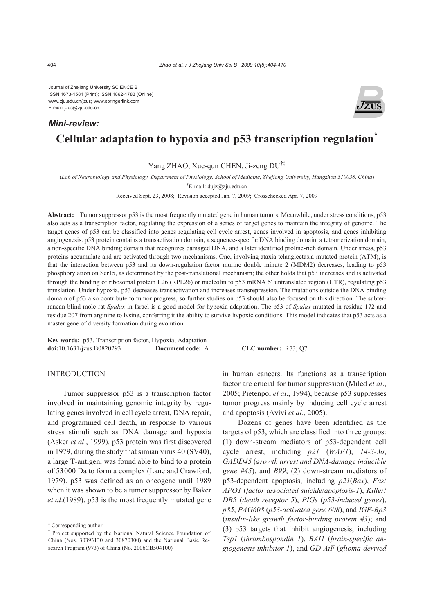Journal of Zhejiang University SCIENCE B ISSN 1673-1581 (Print); ISSN 1862-1783 (Online) www.zju.edu.cn/jzus; www.springerlink.com E-mail: jzus@zju.edu.cn

## *Mini-review:*



# **Cellular adaptation to hypoxia and p53 transcription regulation\***

Yang ZHAO, Xue-qun CHEN, Ji-zeng DU†‡

(*Lab of Neurobiology and Physiology, Department of Physiology, School of Medicine, Zhejiang University, Hangzhou 310058, China*)

† E-mail: dujz@zju.edu.cn

Received Sept. 23, 2008; Revision accepted Jan. 7, 2009; Crosschecked Apr. 7, 2009

**Abstract:** Tumor suppressor p53 is the most frequently mutated gene in human tumors. Meanwhile, under stress conditions, p53 also acts as a transcription factor, regulating the expression of a series of target genes to maintain the integrity of genome. The target genes of p53 can be classified into genes regulating cell cycle arrest, genes involved in apoptosis, and genes inhibiting angiogenesis. p53 protein contains a transactivation domain, a sequence-specific DNA binding domain, a tetramerization domain, a non-specific DNA binding domain that recognizes damaged DNA, and a later identified proline-rich domain. Under stress, p53 proteins accumulate and are activated through two mechanisms. One, involving ataxia telangiectasia-mutated protein (ATM), is that the interaction between p53 and its down-regulation factor murine double minute 2 (MDM2) decreases, leading to p53 phosphorylation on Ser15, as determined by the post-translational mechanism; the other holds that p53 increases and is activated through the binding of ribosomal protein L26 (RPL26) or nucleolin to p53 mRNA 5′ untranslated region (UTR), regulating p53 translation. Under hypoxia, p53 decreases transactivation and increases transrepression. The mutations outside the DNA binding domain of p53 also contribute to tumor progress, so further studies on p53 should also be focused on this direction. The subterranean blind mole rat *Spalax* in Israel is a good model for hypoxia-adaptation. The p53 of *Spalax* mutated in residue 172 and residue 207 from arginine to lysine, conferring it the ability to survive hypoxic conditions. This model indicates that p53 acts as a master gene of diversity formation during evolution.

**Key words:** p53, Transcription factor, Hypoxia, Adaptation **doi:**10.1631/jzus.B0820293 **Document code:** A **CLC number:** R73; Q7

#### **INTRODUCTION**

Tumor suppressor p53 is a transcription factor involved in maintaining genomic integrity by regulating genes involved in cell cycle arrest, DNA repair, and programmed cell death, in response to various stress stimuli such as DNA damage and hypoxia (Asker *et al*., 1999). p53 protein was first discovered in 1979, during the study that simian virus 40 (SV40), a large T-antigen, was found able to bind to a protein of 53000 Da to form a complex (Lane and Crawford, 1979). p53 was defined as an oncogene until 1989 when it was shown to be a tumor suppressor by Baker *et al*.(1989). p53 is the most frequently mutated gene

in human cancers. Its functions as a transcription factor are crucial for tumor suppression (Miled *et al*., 2005; Pietenpol *et al*., 1994), because p53 suppresses tumor progress mainly by inducing cell cycle arrest and apoptosis (Avivi *et al*., 2005).

Dozens of genes have been identified as the targets of p53, which are classified into three groups: (1) down-stream mediators of p53-dependent cell cycle arrest, including  $p21$  (*WAF1*),  $14-3-3\sigma$ , *GADD45* (*growth arrest and DNA-damage inducible gene #45*), and *B99*; (2) down-stream mediators of p53-dependent apoptosis, including *p21*(*Bax*), *Fas*/ *APO1* (*factor associated suicide*/*apoptosis-1*), *Killer*/ *DR5* (*death receptor 5*), *PIGs* (*p53-induced genes*), *p85*, *PAG608* (*p53-activated gene 608*), and *IGF-Bp3*  (*insulin-like growth factor-binding protein #3*); and (3) p53 targets that inhibit angiogenesis, including *Tsp1* (*thrombospondin 1*), *BAI1* (*brain-specific angiogenesis inhibitor 1*), and *GD-AiF* (*glioma-derived* 

<sup>‡</sup> Corresponding author

<sup>\*</sup> Project supported by the National Natural Science Foundation of China (Nos. 30393130 and 30870300) and the National Basic Research Program (973) of China (No. 2006CB504100)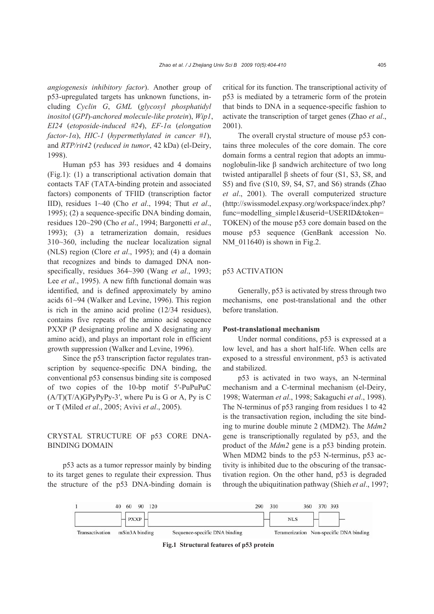*angiogenesis inhibitory factor*). Another group of p53-upregulated targets has unknown functions, including *Cyclin G*, *GML* (*glycosyl phosphatidyl inositol* (*GPI*)*-anchored molecule-like protein*), *Wip1*, *EI24* (*etoposide-induced #24*), *EF-1α* (*elongation factor-1α*), *HIC-1* (*hypermethylated in cancer #1*), and *RTP/rit42* (*reduced in tumor*, 42 kDa) (el-Deiry, 1998).

Human p53 has 393 residues and 4 domains (Fig.1): (1) a transcriptional activation domain that contacts TAF (TATA-binding protein and associated factors) components of TFIID (transcription factor IID), residues 1~40 (Cho *et al*., 1994; Thut *et al*., 1995); (2) a sequence-specific DNA binding domain, residues 120~290 (Cho *et al*., 1994; Bargonetti *et al*., 1993); (3) a tetramerization domain, residues 310~360, including the nuclear localization signal (NLS) region (Clore *et al*., 1995); and (4) a domain that recognizes and binds to damaged DNA nonspecifically, residues 364~390 (Wang *et al*., 1993; Lee *et al*., 1995). A new fifth functional domain was identified, and is defined approximately by amino acids 61~94 (Walker and Levine, 1996). This region is rich in the amino acid proline (12/34 residues), contains five repeats of the amino acid sequence PXXP (P designating proline and X designating any amino acid), and plays an important role in efficient growth suppression (Walker and Levine, 1996).

Since the p53 transcription factor regulates transcription by sequence-specific DNA binding, the conventional p53 consensus binding site is composed of two copies of the 10-bp motif 5′-PuPuPuC  $(A/T)(T/A)GPyPy-3'$ , where Pu is G or A, Py is C or T (Miled *et al*., 2005; Avivi *et al*., 2005).

### CRYSTAL STRUCTURE OF p53 CORE DNA-BINDING DOMAIN

p53 acts as a tumor repressor mainly by binding to its target genes to regulate their expression. Thus the structure of the p53 DNA-binding domain is

critical for its function. The transcriptional activity of p53 is mediated by a tetrameric form of the protein that binds to DNA in a sequence-specific fashion to activate the transcription of target genes (Zhao *et al*., 2001).

The overall crystal structure of mouse p53 contains three molecules of the core domain. The core domain forms a central region that adopts an immunoglobulin-like β sandwich architecture of two long twisted antiparallel β sheets of four  $(S1, S3, S8, and)$ S5) and five (S10, S9, S4, S7, and S6) strands (Zhao *et al*., 2001). The overall computerized structure (http://swissmodel.expasy.org/workspace/index.php? func=modelling\_simple1&userid=USERID&token= TOKEN) of the mouse p53 core domain based on the mouse p53 sequence (GenBank accession No. NM  $011640$ ) is shown in Fig.2.

#### p53 ACTIVATION

Generally, p53 is activated by stress through two mechanisms, one post-translational and the other before translation.

#### **Post-translational mechanism**

Under normal conditions, p53 is expressed at a low level, and has a short half-life. When cells are exposed to a stressful environment, p53 is activated and stabilized.

p53 is activated in two ways, an N-terminal mechanism and a C-terminal mechanism (el-Deiry, 1998; Waterman *et al*., 1998; Sakaguchi *et al*., 1998). The N-terminus of p53 ranging from residues 1 to 42 is the transactivation region, including the site binding to murine double minute 2 (MDM2). The *Mdm2* gene is transcriptionally regulated by p53, and the product of the *Mdm2* gene is a p53 binding protein. When MDM2 binds to the p53 N-terminus, p53 activity is inhibited due to the obscuring of the transactivation region. On the other hand, p53 is degraded through the ubiquitination pathway (Shieh *et al*., 1997;



**Fig.1 Structural features of p53 protein**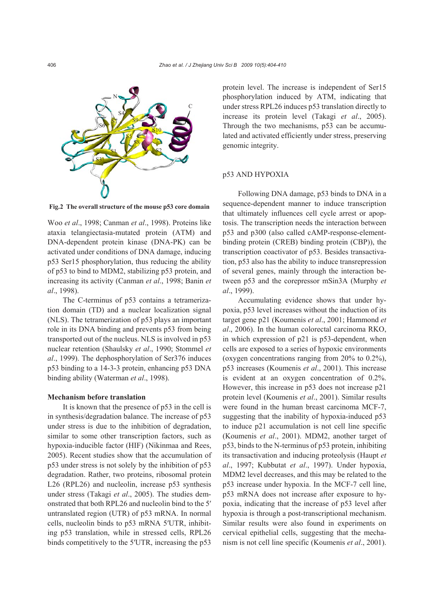

**Fig.2 The overall structure of the mouse p53 core domain**

Woo *et al*., 1998; Canman *et al*., 1998). Proteins like ataxia telangiectasia-mutated protein (ATM) and DNA-dependent protein kinase (DNA-PK) can be activated under conditions of DNA damage, inducing p53 Ser15 phosphorylation, thus reducing the ability of p53 to bind to MDM2, stabilizing p53 protein, and increasing its activity (Canman *et al*., 1998; Banin *et al*., 1998).

The C-terminus of p53 contains a tetramerization domain (TD) and a nuclear localization signal (NLS). The tetramerization of p53 plays an important role in its DNA binding and prevents p53 from being transported out of the nucleus. NLS is involved in p53 nuclear retention (Shaulsky *et al*., 1990; Stommel *et al*., 1999). The dephosphorylation of Ser376 induces p53 binding to a 14-3-3 protein, enhancing p53 DNA binding ability (Waterman *et al*., 1998).

#### **Mechanism before translation**

It is known that the presence of p53 in the cell is in synthesis/degradation balance. The increase of p53 under stress is due to the inhibition of degradation, similar to some other transcription factors, such as hypoxia-inducible factor (HIF) (Nikinmaa and Rees, 2005). Recent studies show that the accumulation of p53 under stress is not solely by the inhibition of p53 degradation. Rather, two proteins, ribosomal protein L26 (RPL26) and nucleolin, increase p53 synthesis under stress (Takagi *et al*., 2005). The studies demonstrated that both RPL26 and nucleolin bind to the 5′ untranslated region (UTR) of p53 mRNA. In normal cells, nucleolin binds to p53 mRNA 5′UTR, inhibiting p53 translation, while in stressed cells, RPL26 binds competitively to the 5′UTR, increasing the p53

protein level. The increase is independent of Ser15 phosphorylation induced by ATM, indicating that under stress RPL26 induces p53 translation directly to increase its protein level (Takagi *et al*., 2005). Through the two mechanisms, p53 can be accumulated and activated efficiently under stress, preserving genomic integrity.

#### p53 AND HYPOXIA

Following DNA damage, p53 binds to DNA in a sequence-dependent manner to induce transcription that ultimately influences cell cycle arrest or apoptosis. The transcription needs the interaction between p53 and p300 (also called cAMP-response-elementbinding protein (CREB) binding protein (CBP)), the transcription coactivator of p53. Besides transactivation, p53 also has the ability to induce transrepression of several genes, mainly through the interaction between p53 and the corepressor mSin3A (Murphy *et al*., 1999).

Accumulating evidence shows that under hypoxia, p53 level increases without the induction of its target gene p21 (Koumenis *et al*., 2001; Hammond *et al*., 2006). In the human colorectal carcinoma RKO, in which expression of p21 is p53-dependent, when cells are exposed to a series of hypoxic environments (oxygen concentrations ranging from 20% to 0.2%), p53 increases (Koumenis *et al*., 2001). This increase is evident at an oxygen concentration of 0.2%. However, this increase in p53 does not increase p21 protein level (Koumenis *et al*., 2001). Similar results were found in the human breast carcinoma MCF-7, suggesting that the inability of hypoxia-induced p53 to induce p21 accumulation is not cell line specific (Koumenis *et al*., 2001). MDM2, another target of p53, binds to the N-terminus of p53 protein, inhibiting its transactivation and inducing proteolysis (Haupt *et al*., 1997; Kubbutat *et al*., 1997). Under hypoxia, MDM2 level decreases, and this may be related to the p53 increase under hypoxia. In the MCF-7 cell line, p53 mRNA does not increase after exposure to hypoxia, indicating that the increase of p53 level after hypoxia is through a post-transcriptional mechanism. Similar results were also found in experiments on cervical epithelial cells, suggesting that the mechanism is not cell line specific (Koumenis *et al*., 2001).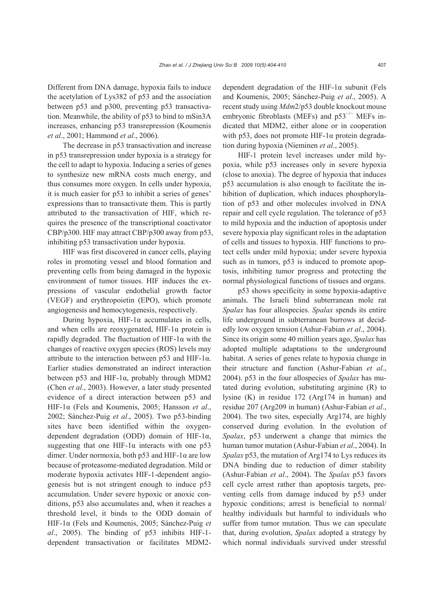Different from DNA damage, hypoxia fails to induce the acetylation of Lys382 of p53 and the association between p53 and p300, preventing p53 transactivation. Meanwhile, the ability of p53 to bind to mSin3A increases, enhancing p53 transrepression (Koumenis *et al*., 2001; Hammond *et al*., 2006).

The decrease in p53 transactivation and increase in p53 transrepression under hypoxia is a strategy for the cell to adapt to hypoxia. Inducing a series of genes to synthesize new mRNA costs much energy, and thus consumes more oxygen. In cells under hypoxia, it is much easier for p53 to inhibit a series of genes' expressions than to transactivate them. This is partly attributed to the transactivation of HIF, which requires the presence of the transcriptional coactivator CBP/p300. HIF may attract CBP/p300 away from p53, inhibiting p53 transactivation under hypoxia.

HIF was first discovered in cancer cells, playing roles in promoting vessel and blood formation and preventing cells from being damaged in the hypoxic environment of tumor tissues. HIF induces the expressions of vascular endothelial growth factor (VEGF) and erythropoietin (EPO), which promote angiogenesis and hemocytogenesis, respectively.

During hypoxia, HIF-1 $α$  accumulates in cells, and when cells are reoxygenated,  $HIF-1\alpha$  protein is rapidly degraded. The fluctuation of HIF-1α with the changes of reactive oxygen species (ROS) levels may attribute to the interaction between p53 and HIF-1α. Earlier studies demonstrated an indirect interaction between p53 and HIF-1α, probably through MDM2 (Chen *et al*., 2003). However, a later study presented evidence of a direct interaction between p53 and HIF-1α (Fels and Koumenis, 2005; Hansson *et al*., 2002; Sánchez-Puig *et al*., 2005). Two p53-binding sites have been identified within the oxygendependent degradation (ODD) domain of HIF-1α, suggesting that one HIF-1 $\alpha$  interacts with one p53 dimer. Under normoxia, both p53 and HIF-1α are low because of proteasome-mediated degradation. Mild or moderate hypoxia activates HIF-1-dependent angiogenesis but is not stringent enough to induce p53 accumulation. Under severe hypoxic or anoxic conditions, p53 also accumulates and, when it reaches a threshold level, it binds to the ODD domain of HIF-1α (Fels and Koumenis, 2005; Sánchez-Puig *et al*., 2005). The binding of p53 inhibits HIF-1 dependent transactivation or facilitates MDM2dependent degradation of the HIF-1α subunit (Fels and Koumenis, 2005; Sánchez-Puig *et al*., 2005). A recent study using *Mdm*2/p53 double knockout mouse embryonic fibroblasts (MEFs) and  $p53^{-/-}$  MEFs indicated that MDM2, either alone or in cooperation with p53, does not promote HIF-1α protein degradation during hypoxia (Nieminen *et al*., 2005).

HIF-1 protein level increases under mild hypoxia, while p53 increases only in severe hypoxia (close to anoxia). The degree of hypoxia that induces p53 accumulation is also enough to facilitate the inhibition of duplication, which induces phosphorylation of p53 and other molecules involved in DNA repair and cell cycle regulation. The tolerance of p53 to mild hypoxia and the induction of apoptosis under severe hypoxia play significant roles in the adaptation of cells and tissues to hypoxia. HIF functions to protect cells under mild hypoxia; under severe hypoxia such as in tumors, p53 is induced to promote apoptosis, inhibiting tumor progress and protecting the normal physiological functions of tissues and organs.

p53 shows specificity in some hypoxia-adaptive animals. The Israeli blind subterranean mole rat *Spalax* has four allospecies. *Spalax* spends its entire life underground in subterranean burrows at decidedly low oxygen tension (Ashur-Fabian *et al*., 2004). Since its origin some 40 million years ago, *Spalax* has adopted multiple adaptations to the underground habitat. A series of genes relate to hypoxia change in their structure and function (Ashur-Fabian *et al*., 2004). p53 in the four allospecies of *Spalax* has mutated during evolution, substituting arginine (R) to lysine (K) in residue 172 (Arg174 in human) and residue 207 (Arg209 in human) (Ashur-Fabian *et al*., 2004). The two sites, especially Arg174, are highly conserved during evolution. In the evolution of *Spalax*, p53 underwent a change that mimics the human tumor mutation (Ashur-Fabian *et al*., 2004). In *Spalax* p53, the mutation of Arg174 to Lys reduces its DNA binding due to reduction of dimer stability (Ashur-Fabian *et al*., 2004). The *Spalax* p53 favors cell cycle arrest rather than apoptosis targets, preventing cells from damage induced by p53 under hypoxic conditions; arrest is beneficial to normal/ healthy individuals but harmful to individuals who suffer from tumor mutation. Thus we can speculate that, during evolution, *Spalax* adopted a strategy by which normal individuals survived under stressful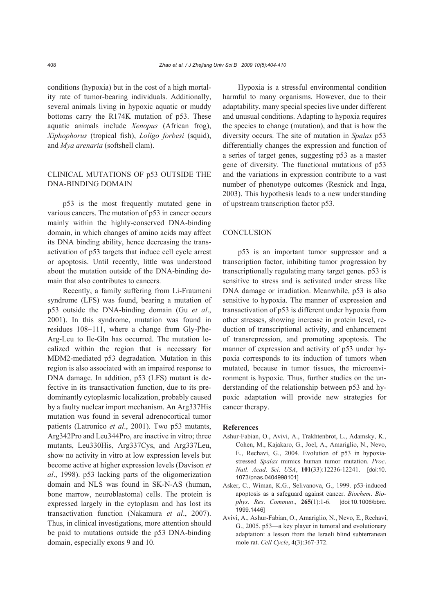conditions (hypoxia) but in the cost of a high mortality rate of tumor-bearing individuals. Additionally, several animals living in hypoxic aquatic or muddy bottoms carry the R174K mutation of p53. These aquatic animals include *Xenopus* (African frog), *Xiphophorus* (tropical fish), *Loligo forbesi* (squid), and *Mya arenaria* (softshell clam).

#### CLINICAL MUTATIONS OF p53 OUTSIDE THE DNA-BINDING DOMAIN

p53 is the most frequently mutated gene in various cancers. The mutation of p53 in cancer occurs mainly within the highly-conserved DNA-binding domain, in which changes of amino acids may affect its DNA binding ability, hence decreasing the transactivation of p53 targets that induce cell cycle arrest or apoptosis. Until recently, little was understood about the mutation outside of the DNA-binding domain that also contributes to cancers.

Recently, a family suffering from Li-Fraumeni syndrome (LFS) was found, bearing a mutation of p53 outside the DNA-binding domain (Gu *et al*., 2001). In this syndrome, mutation was found in residues 108~111, where a change from Gly-Phe-Arg-Leu to Ile-Gln has occurred. The mutation localized within the region that is necessary for MDM2-mediated p53 degradation. Mutation in this region is also associated with an impaired response to DNA damage. In addition, p53 (LFS) mutant is defective in its transactivation function, due to its predominantly cytoplasmic localization, probably caused by a faulty nuclear import mechanism. An Arg337His mutation was found in several adrenocortical tumor patients (Latronico *et al*., 2001). Two p53 mutants, Arg342Pro and Leu344Pro, are inactive in vitro; three mutants, Leu330His, Arg337Cys, and Arg337Leu, show no activity in vitro at low expression levels but become active at higher expression levels (Davison *et al*., 1998). p53 lacking parts of the oligomerization domain and NLS was found in SK-N-AS (human, bone marrow, neuroblastoma) cells. The protein is expressed largely in the cytoplasm and has lost its transactivation function (Nakamura *et al*., 2007). Thus, in clinical investigations, more attention should be paid to mutations outside the p53 DNA-binding domain, especially exons 9 and 10.

Hypoxia is a stressful environmental condition harmful to many organisms. However, due to their adaptability, many special species live under different and unusual conditions. Adapting to hypoxia requires the species to change (mutation), and that is how the diversity occurs. The site of mutation in *Spalax* p53 differentially changes the expression and function of a series of target genes, suggesting p53 as a master gene of diversity. The functional mutations of p53 and the variations in expression contribute to a vast number of phenotype outcomes (Resnick and Inga, 2003). This hypothesis leads to a new understanding of upstream transcription factor p53.

#### **CONCLUSION**

p53 is an important tumor suppressor and a transcription factor, inhibiting tumor progression by transcriptionally regulating many target genes. p53 is sensitive to stress and is activated under stress like DNA damage or irradiation. Meanwhile, p53 is also sensitive to hypoxia. The manner of expression and transactivation of p53 is different under hypoxia from other stresses, showing increase in protein level, reduction of transcriptional activity, and enhancement of transrepression, and promoting apoptosis. The manner of expression and activity of p53 under hypoxia corresponds to its induction of tumors when mutated, because in tumor tissues, the microenvironment is hypoxic. Thus, further studies on the understanding of the relationship between p53 and hypoxic adaptation will provide new strategies for cancer therapy.

#### **References**

- Ashur-Fabian, O., Avivi, A., Trakhtenbrot, L., Adamsky, K., Cohen, M., Kajakaro, G., Joel, A., Amariglio, N., Nevo, E., Rechavi, G., 2004. Evolution of p53 in hypoxiastressed *Spalax* mimics human tumor mutation. *Proc*. *Natl*. *Acad*. *Sci*. *USA*, **101**(33):12236-12241. [doi:10. 1073/pnas.0404998101]
- Asker, C., Wiman, K.G., Selivanova, G., 1999. p53-induced apoptosis as a safeguard against cancer. *Biochem*. *Biophys*. *Res*. *Commun*., **265**(1):1-6. [doi:10.1006/bbrc. 1999.1446]
- Avivi, A., Ashur-Fabian, O., Amariglio, N., Nevo, E., Rechavi, G., 2005. p53—a key player in tumoral and evolutionary adaptation: a lesson from the Israeli blind subterranean mole rat. *Cell Cycle*, **4**(3):367-372.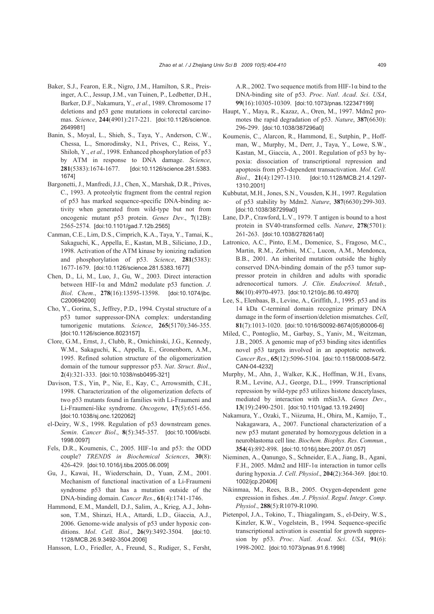- Baker, S.J., Fearon, E.R., Nigro, J.M., Hamilton, S.R., Preisinger, A.C., Jessup, J.M., van Tuinen, P., Ledbetter, D.H., Barker, D.F., Nakamura, Y., *et al*., 1989. Chromosome 17 deletions and p53 gene mutations in colorectal carcinomas. *Science*, **244**(4901):217-221. [doi:10.1126/science. 2649981]
- Banin, S., Moyal, L., Shieh, S., Taya, Y., Anderson, C.W., Chessa, L., Smorodinsky, N.I., Prives, C., Reiss, Y., Shiloh, Y., *et al*., 1998. Enhanced phosphorylation of p53 by ATM in response to DNA damage. *Science*, **281**(5383):1674-1677. [doi:10.1126/science.281.5383. 1674]
- Bargonetti, J., Manfredi, J.J., Chen, X., Marshak, D.R., Prives, C., 1993. A proteolytic fragment from the central region of p53 has marked sequence-specific DNA-binding activity when generated from wild-type but not from oncogenic mutant p53 protein. *Genes Dev*., **7**(12B): 2565-2574. [doi:10.1101/gad.7.12b.2565]
- Canman, C.E., Lim, D.S., Cimprich, K.A., Taya, Y., Tamai, K., Sakaguchi, K., Appella, E., Kastan, M.B., Siliciano, J.D., 1998. Activation of the ATM kinase by ionizing radiation and phosphorylation of p53. *Science*, **281**(5383): 1677-1679. [doi:10.1126/science.281.5383.1677]
- Chen, D., Li, M., Luo, J., Gu, W., 2003. Direct interaction between HIF-1 $\alpha$  and Mdm<sub>2</sub> modulate p53 function. *J*. *Biol*. *Chem*., **278**(16):13595-13598. [doi:10.1074/jbc. C200694200]
- Cho, Y., Gorina, S., Jeffrey, P.D., 1994. Crystal structure of a p53 tumor suppressor-DNA complex: understanding tumorigenic mutations. *Science*, **265**(5170):346-355. [doi:10.1126/science.8023157]
- Clore, G.M., Ernst, J., Clubb, R., Omichinski, J.G., Kennedy, W.M., Sakaguchi, K., Appella, E., Gronenborn, A.M., 1995. Refined solution structure of the oligomerization domain of the tumour suppressor p53. *Nat*. *Struct*. *Biol*., **2**(4):321-333. [doi:10.1038/nsb0495-321]
- Davison, T.S., Yin, P., Nie, E., Kay, C., Arrowsmith, C.H., 1998. Characterization of the oligomerization defects of two p53 mutants found in families with Li-Fraumeni and Li-Fraumeni-like syndrome. *Oncogene*, **17**(5):651-656. [doi:10.1038/sj.onc.1202062]
- el-Deiry, W.S., 1998. Regulation of p53 downstream genes. *Semin*. *Cancer Biol*., **8**(5):345-357. [doi:10.1006/scbi. 1998.0097]
- Fels, D.R., Koumenis, C., 2005. HIF-1 $\alpha$  and p53: the ODD couple? *TRENDS in Biochemical Sciences*, **30**(8): 426-429. [doi:10.1016/j.tibs.2005.06.009]
- Gu, J., Kawai, H., Wiederschain, D., Yuan, Z.M., 2001. Mechanism of functional inactivation of a Li-Fraumeni syndrome p53 that has a mutation outside of the DNA-binding domain. *Cancer Res*., **61**(4):1741-1746.
- Hammond, E.M., Mandell, D.J., Salim, A., Krieg, A.J., Johnson, T.M., Shirazi, H.A., Attardi, L.D., Giaccia, A.J., 2006. Genome-wide analysis of p53 under hypoxic conditions. *Mol*. *Cell. Biol*., **26**(9):3492-3504. [doi:10. 1128/MCB.26.9.3492-3504.2006]
- Hansson, L.O., Friedler, A., Freund, S., Rudiger, S., Fersht,

A.R., 2002. Two sequence motifs from HIF-1 $\alpha$  bind to the DNA-binding site of p53. *Proc*. *Natl*. *Acad*. *Sci*. *USA*, **99**(16):10305-10309. [doi:10.1073/pnas.122347199]

- Haupt, Y., Maya, R., Kazaz, A., Oren, M., 1997. Mdm2 promotes the rapid degradation of p53. *Nature*, **387**(6630): 296-299. [doi:10.1038/387296a0]
- Koumenis, C., Alarcon, R., Hammond, E., Sutphin, P., Hoffman, W., Murphy, M., Derr, J., Taya, Y., Lowe, S.W., Kastan, M., Giaccia, A., 2001. Regulation of p53 by hypoxia: dissociation of transcriptional repression and apoptosis from p53-dependent transactivation. *Mol*. *Cell. Biol*., **21**(4):1297-1310. [doi:10.1128/MCB.21.4.1297- 1310.2001]
- Kubbutat, M.H., Jones, S.N., Vousden, K.H., 1997. Regulation of p53 stability by Mdm2. *Nature*, **387**(6630):299-303. [doi:10.1038/387299a0]
- Lane, D.P., Crawford, L.V., 1979. T antigen is bound to a host protein in SV40-transformed cells. *Nature*, **278**(5701): 261-263. [doi:10.1038/278261a0]
- Latronico, A.C., Pinto, E.M., Domenice, S., Fragoso, M.C., Martin, R.M., Zerbini, M.C., Lucon, A.M., Mendonca, B.B., 2001. An inherited mutation outside the highly conserved DNA-binding domain of the p53 tumor suppressor protein in children and adults with sporadic adrenocortical tumors. *J*. *Clin*. *Endocrinol. Metab*., **86**(10):4970-4973. [doi:10.1210/jc.86.10.4970]
- Lee, S., Elenbaas, B., Levine, A., Griffith, J., 1995. p53 and its 14 kDa C-terminal domain recognize primary DNA damage in the form of insertion/deletion mismatches. *Cell*, **81**(7):1013-1020. [doi:10.1016/S0092-8674(05)80006-6]
- Miled, C., Pontoglio, M., Garbay, S., Yaniv, M., Weitzman, J.B., 2005. A genomic map of p53 binding sites identifies novel p53 targets involved in an apoptotic network. *Cancer Res*., **65**(12):5096-5104. [doi:10.1158/0008-5472. CAN-04-4232]
- Murphy, M., Ahn, J., Walker, K.K., Hoffman, W.H., Evans, R.M., Levine, A.J., George, D.L., 1999. Transcriptional repression by wild-type p53 utilizes histone deacetylases, mediated by interaction with mSin3A. *Genes Dev*., **13**(19):2490-2501. [doi:10.1101/gad.13.19.2490]
- Nakamura, Y., Ozaki, T., Niizuma, H., Ohira, M., Kamijo, T., Nakagawara, A., 2007. Functional characterization of a new p53 mutant generated by homozygous deletion in a neuroblastoma cell line. *Biochem. Biophys. Res*. *Commun.*, **354**(4):892-898. [doi:10.1016/j.bbrc.2007.01.057]
- Nieminen, A., Qanungo, S., Schneider, E.A., Jiang, B., Agani, F.H., 2005. Mdm2 and HIF-1 $\alpha$  interaction in tumor cells during hypoxia. *J*. *Cell*. *Physiol*., **204**(2):364-369. [doi:10. 1002/jcp.20406]
- Nikinmaa, M., Rees, B.B., 2005. Oxygen-dependent gene expression in fishes. *Am*. *J*. *Physiol*. *Regul*. *Integr*. *Comp*. *Physiol*., **288**(5):R1079-R1090.
- Pietenpol, J.A., Tokino, T., Thiagalingam, S., el-Deiry, W.S., Kinzler, K.W., Vogelstein, B., 1994. Sequence-specific transcriptional activation is essential for growth suppression by p53. *Proc*. *Natl*. *Acad*. *Sci*. *USA*, **91**(6): 1998-2002. [doi:10.1073/pnas.91.6.1998]